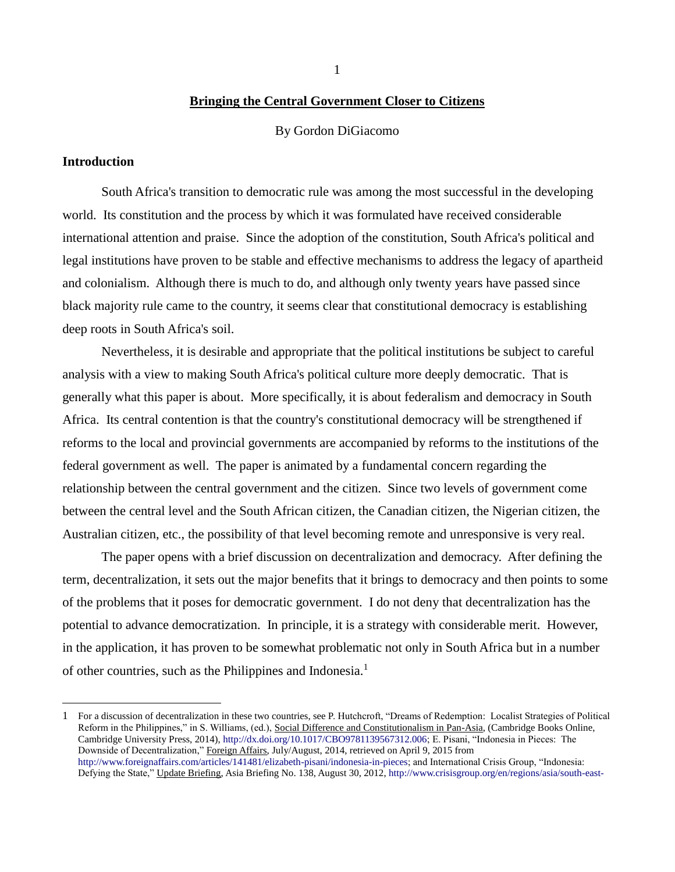1

### **Bringing the Central Government Closer to Citizens**

By Gordon DiGiacomo

### **Introduction**

 $\overline{a}$ 

South Africa's transition to democratic rule was among the most successful in the developing world. Its constitution and the process by which it was formulated have received considerable international attention and praise. Since the adoption of the constitution, South Africa's political and legal institutions have proven to be stable and effective mechanisms to address the legacy of apartheid and colonialism. Although there is much to do, and although only twenty years have passed since black majority rule came to the country, it seems clear that constitutional democracy is establishing deep roots in South Africa's soil.

Nevertheless, it is desirable and appropriate that the political institutions be subject to careful analysis with a view to making South Africa's political culture more deeply democratic. That is generally what this paper is about. More specifically, it is about federalism and democracy in South Africa. Its central contention is that the country's constitutional democracy will be strengthened if reforms to the local and provincial governments are accompanied by reforms to the institutions of the federal government as well. The paper is animated by a fundamental concern regarding the relationship between the central government and the citizen. Since two levels of government come between the central level and the South African citizen, the Canadian citizen, the Nigerian citizen, the Australian citizen, etc., the possibility of that level becoming remote and unresponsive is very real.

The paper opens with a brief discussion on decentralization and democracy. After defining the term, decentralization, it sets out the major benefits that it brings to democracy and then points to some of the problems that it poses for democratic government. I do not deny that decentralization has the potential to advance democratization. In principle, it is a strategy with considerable merit. However, in the application, it has proven to be somewhat problematic not only in South Africa but in a number of other countries, such as the Philippines and Indonesia.<sup>1</sup>

<sup>1</sup> For a discussion of decentralization in these two countries, see P. Hutchcroft, "Dreams of Redemption: Localist Strategies of Political Reform in the Philippines," in S. Williams, (ed.), Social Difference and Constitutionalism in Pan-Asia, (Cambridge Books Online, Cambridge University Press, 2014)[, http://dx.doi.org/10.1017/CBO9781139567312.006;](http://dx.doi.org/10.1017/CBO9781139567312.006) E. Pisani, "Indonesia in Pieces: The Downside of Decentralization," Foreign Affairs, July/August, 2014, retrieved on April 9, 2015 from [http://www.foreignaffairs.com/articles/141481/elizabeth-pisani/indonesia-in-pieces;](http://www.foreignaffairs.com/articles/141481/elizabeth-pisani/indonesia-in-pieces) and International Crisis Group, "Indonesia: Defying the State," Update Briefing, Asia Briefing No. 138, August 30, 2012[, http://www.crisisgroup.org/en/regions/asia/south-east-](http://www.crisisgroup.org/en/regions/asia/south-east-asia/indonesia/b138-indonesia-defying-the-state.aspx)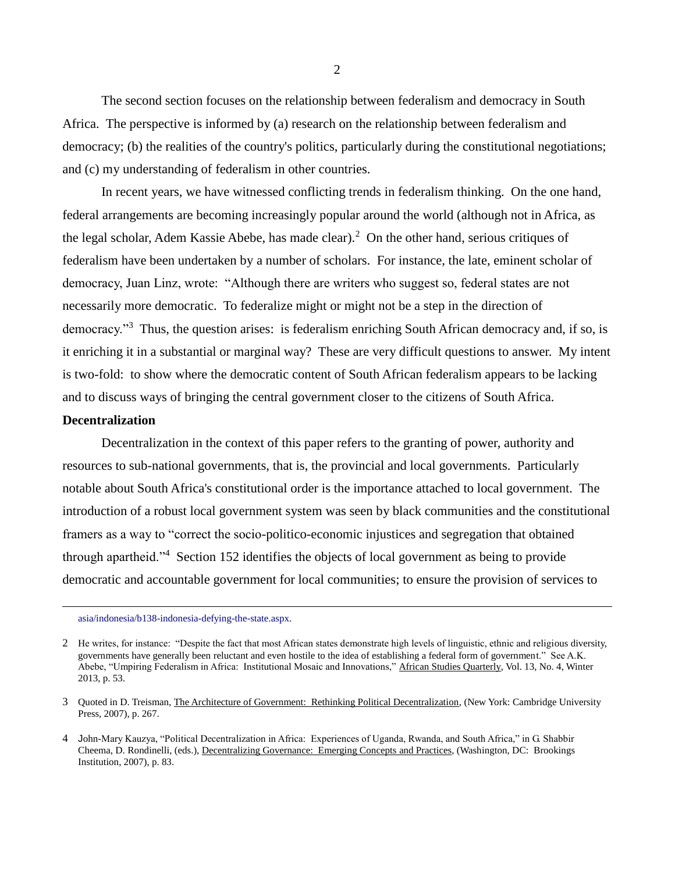The second section focuses on the relationship between federalism and democracy in South Africa. The perspective is informed by (a) research on the relationship between federalism and democracy; (b) the realities of the country's politics, particularly during the constitutional negotiations; and (c) my understanding of federalism in other countries.

In recent years, we have witnessed conflicting trends in federalism thinking. On the one hand, federal arrangements are becoming increasingly popular around the world (although not in Africa, as the legal scholar, Adem Kassie Abebe, has made clear).<sup>2</sup> On the other hand, serious critiques of federalism have been undertaken by a number of scholars. For instance, the late, eminent scholar of democracy, Juan Linz, wrote: "Although there are writers who suggest so, federal states are not necessarily more democratic. To federalize might or might not be a step in the direction of democracy."<sup>3</sup> Thus, the question arises: is federalism enriching South African democracy and, if so, is it enriching it in a substantial or marginal way? These are very difficult questions to answer. My intent is two-fold: to show where the democratic content of South African federalism appears to be lacking and to discuss ways of bringing the central government closer to the citizens of South Africa.

## **Decentralization**

 $\overline{a}$ 

Decentralization in the context of this paper refers to the granting of power, authority and resources to sub-national governments, that is, the provincial and local governments. Particularly notable about South Africa's constitutional order is the importance attached to local government. The introduction of a robust local government system was seen by black communities and the constitutional framers as a way to "correct the socio-politico-economic injustices and segregation that obtained through apartheid."<sup>4</sup> Section 152 identifies the objects of local government as being to provide democratic and accountable government for local communities; to ensure the provision of services to

[asia/indonesia/b138-indonesia-defying-the-state.aspx.](http://www.crisisgroup.org/en/regions/asia/south-east-asia/indonesia/b138-indonesia-defying-the-state.aspx) 

<sup>2</sup> He writes, for instance: "Despite the fact that most African states demonstrate high levels of linguistic, ethnic and religious diversity, governments have generally been reluctant and even hostile to the idea of establishing a federal form of government." See A.K. Abebe, "Umpiring Federalism in Africa: Institutional Mosaic and Innovations," African Studies Quarterly, Vol. 13, No. 4, Winter 2013, p. 53.

<sup>3</sup> Quoted in D. Treisman, The Architecture of Government: Rethinking Political Decentralization, (New York: Cambridge University Press, 2007), p. 267.

<sup>4</sup> John-Mary Kauzya, "Political Decentralization in Africa: Experiences of Uganda, Rwanda, and South Africa," in G. Shabbir Cheema, D. Rondinelli, (eds.), Decentralizing Governance: Emerging Concepts and Practices, (Washington, DC: Brookings Institution, 2007), p. 83.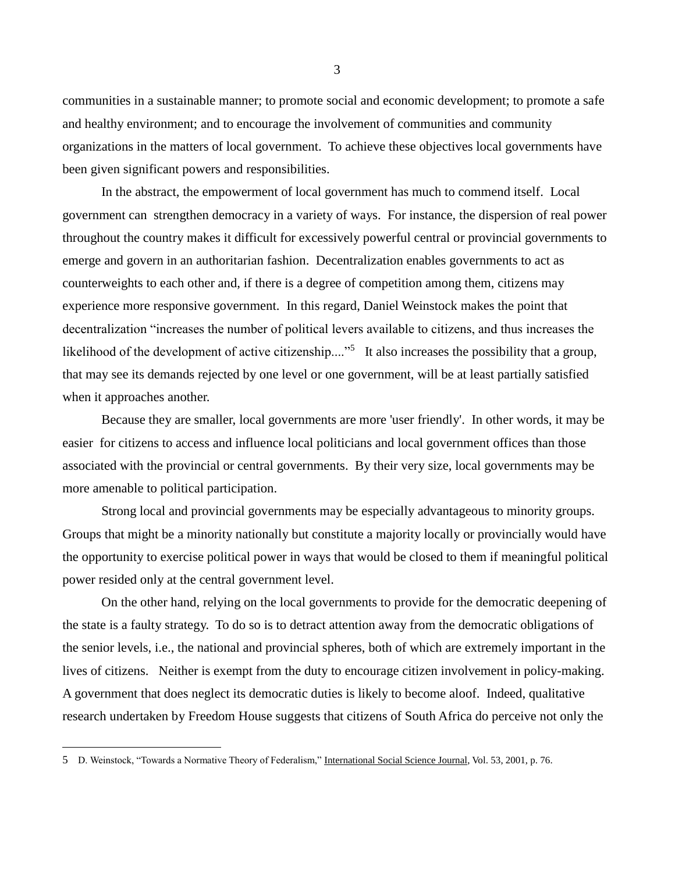communities in a sustainable manner; to promote social and economic development; to promote a safe and healthy environment; and to encourage the involvement of communities and community organizations in the matters of local government. To achieve these objectives local governments have been given significant powers and responsibilities.

In the abstract, the empowerment of local government has much to commend itself. Local government can strengthen democracy in a variety of ways. For instance, the dispersion of real power throughout the country makes it difficult for excessively powerful central or provincial governments to emerge and govern in an authoritarian fashion. Decentralization enables governments to act as counterweights to each other and, if there is a degree of competition among them, citizens may experience more responsive government. In this regard, Daniel Weinstock makes the point that decentralization "increases the number of political levers available to citizens, and thus increases the likelihood of the development of active citizenship...."<sup>5</sup> It also increases the possibility that a group, that may see its demands rejected by one level or one government, will be at least partially satisfied when it approaches another.

Because they are smaller, local governments are more 'user friendly'. In other words, it may be easier for citizens to access and influence local politicians and local government offices than those associated with the provincial or central governments. By their very size, local governments may be more amenable to political participation.

Strong local and provincial governments may be especially advantageous to minority groups. Groups that might be a minority nationally but constitute a majority locally or provincially would have the opportunity to exercise political power in ways that would be closed to them if meaningful political power resided only at the central government level.

On the other hand, relying on the local governments to provide for the democratic deepening of the state is a faulty strategy. To do so is to detract attention away from the democratic obligations of the senior levels, i.e., the national and provincial spheres, both of which are extremely important in the lives of citizens. Neither is exempt from the duty to encourage citizen involvement in policy-making. A government that does neglect its democratic duties is likely to become aloof. Indeed, qualitative research undertaken by Freedom House suggests that citizens of South Africa do perceive not only the

 $\overline{a}$ 

<sup>5</sup> D. Weinstock, "Towards a Normative Theory of Federalism," International Social Science Journal, Vol. 53, 2001, p. 76.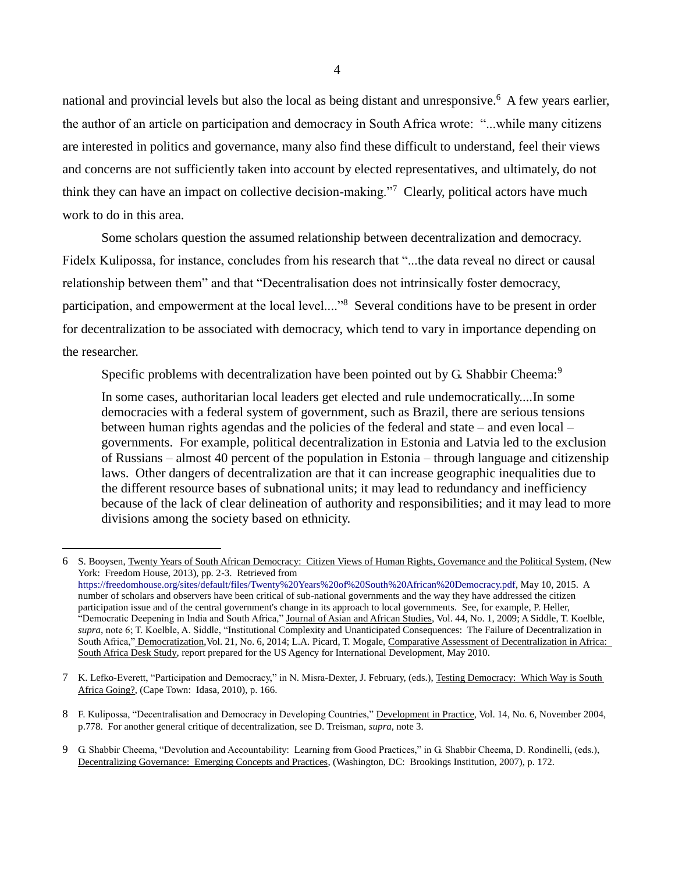national and provincial levels but also the local as being distant and unresponsive.<sup>6</sup> A few years earlier, the author of an article on participation and democracy in South Africa wrote: "...while many citizens are interested in politics and governance, many also find these difficult to understand, feel their views and concerns are not sufficiently taken into account by elected representatives, and ultimately, do not think they can have an impact on collective decision-making."<sup>7</sup> Clearly, political actors have much work to do in this area.

Some scholars question the assumed relationship between decentralization and democracy.

Fidelx Kulipossa, for instance, concludes from his research that "...the data reveal no direct or causal relationship between them" and that "Decentralisation does not intrinsically foster democracy, participation, and empowerment at the local level...."<sup>8</sup> Several conditions have to be present in order for decentralization to be associated with democracy, which tend to vary in importance depending on the researcher.

Specific problems with decentralization have been pointed out by G. Shabbir Cheema:<sup>9</sup>

In some cases, authoritarian local leaders get elected and rule undemocratically....In some democracies with a federal system of government, such as Brazil, there are serious tensions between human rights agendas and the policies of the federal and state – and even local – governments. For example, political decentralization in Estonia and Latvia led to the exclusion of Russians – almost 40 percent of the population in Estonia – through language and citizenship laws. Other dangers of decentralization are that it can increase geographic inequalities due to the different resource bases of subnational units; it may lead to redundancy and inefficiency because of the lack of clear delineation of authority and responsibilities; and it may lead to more divisions among the society based on ethnicity.

 $\overline{a}$ 

9 G. Shabbir Cheema, "Devolution and Accountability: Learning from Good Practices," in G. Shabbir Cheema, D. Rondinelli, (eds.), Decentralizing Governance: Emerging Concepts and Practices, (Washington, DC: Brookings Institution, 2007), p. 172.

<sup>6</sup> S. Booysen, Twenty Years of South African Democracy: Citizen Views of Human Rights, Governance and the Political System, (New York: Freedom House, 2013), pp. 2-3. Retrieved from [https://freedomhouse.org/sites/default/files/Twenty%20Years%20of%20South%20African%20Democracy.pdf,](https://freedomhouse.org/sites/default/files/Twenty%20Years%20of%20South%20African%20Democracy.pdf) May 10, 2015. A number of scholars and observers have been critical of sub-national governments and the way they have addressed the citizen participation issue and of the central government's change in its approach to local governments. See, for example, P. Heller, "Democratic Deepening in India and South Africa," Journal of Asian and African Studies, Vol. 44, No. 1, 2009; A Siddle, T. Koelble, *supra*, note 6; T. Koelble, A. Siddle, "Institutional Complexity and Unanticipated Consequences: The Failure of Decentralization in South Africa," Democratization, Vol. 21, No. 6, 2014; L.A. Picard, T. Mogale, Comparative Assessment of Decentralization in Africa: South Africa Desk Study, report prepared for the US Agency for International Development, May 2010.

<sup>7</sup> K. Lefko-Everett, "Participation and Democracy," in N. Misra-Dexter, J. February, (eds.), Testing Democracy: Which Way is South Africa Going?, (Cape Town: Idasa, 2010), p. 166.

<sup>8</sup> F. Kulipossa, "Decentralisation and Democracy in Developing Countries," Development in Practice, Vol. 14, No. 6, November 2004, p.778. For another general critique of decentralization, see D. Treisman, *supra,* note 3.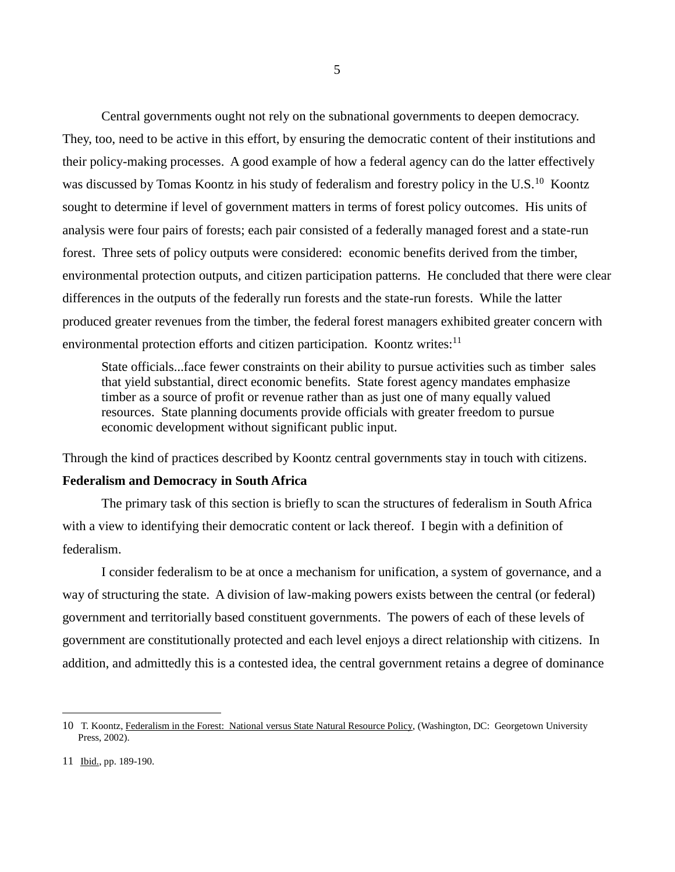Central governments ought not rely on the subnational governments to deepen democracy. They, too, need to be active in this effort, by ensuring the democratic content of their institutions and their policy-making processes. A good example of how a federal agency can do the latter effectively was discussed by Tomas Koontz in his study of federalism and forestry policy in the U.S.<sup>10</sup> Koontz sought to determine if level of government matters in terms of forest policy outcomes. His units of analysis were four pairs of forests; each pair consisted of a federally managed forest and a state-run forest. Three sets of policy outputs were considered: economic benefits derived from the timber, environmental protection outputs, and citizen participation patterns. He concluded that there were clear differences in the outputs of the federally run forests and the state-run forests. While the latter produced greater revenues from the timber, the federal forest managers exhibited greater concern with environmental protection efforts and citizen participation. Koontz writes:<sup>11</sup>

State officials...face fewer constraints on their ability to pursue activities such as timber sales that yield substantial, direct economic benefits. State forest agency mandates emphasize timber as a source of profit or revenue rather than as just one of many equally valued resources. State planning documents provide officials with greater freedom to pursue economic development without significant public input.

Through the kind of practices described by Koontz central governments stay in touch with citizens.

## **Federalism and Democracy in South Africa**

The primary task of this section is briefly to scan the structures of federalism in South Africa with a view to identifying their democratic content or lack thereof. I begin with a definition of federalism.

I consider federalism to be at once a mechanism for unification, a system of governance, and a way of structuring the state. A division of law-making powers exists between the central (or federal) government and territorially based constituent governments. The powers of each of these levels of government are constitutionally protected and each level enjoys a direct relationship with citizens. In addition, and admittedly this is a contested idea, the central government retains a degree of dominance

<sup>10</sup> T. Koontz, Federalism in the Forest: National versus State Natural Resource Policy, (Washington, DC: Georgetown University Press, 2002).

<sup>11</sup> Ibid., pp. 189-190.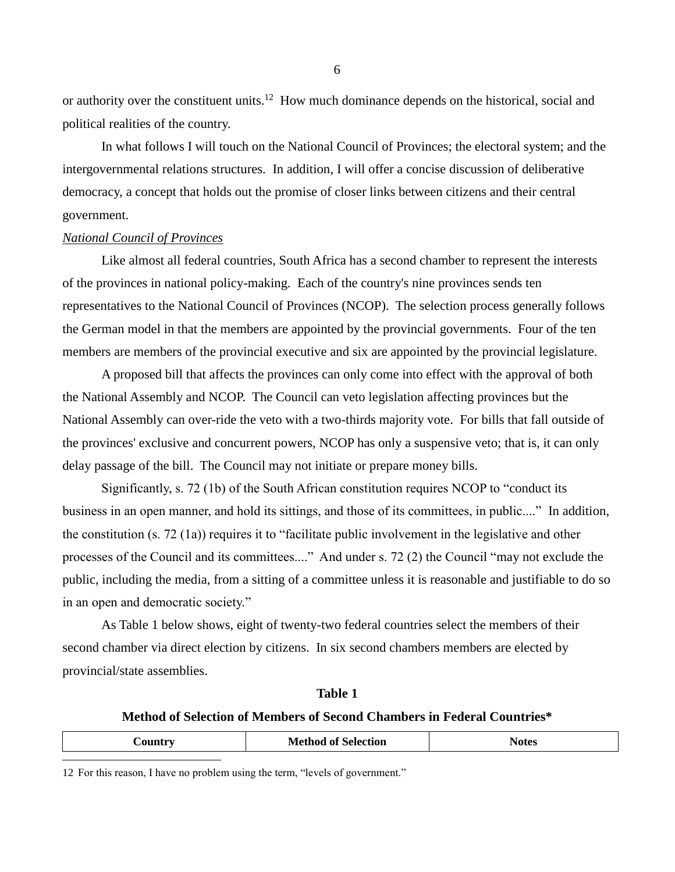or authority over the constituent units.<sup>12</sup> How much dominance depends on the historical, social and political realities of the country.

In what follows I will touch on the National Council of Provinces; the electoral system; and the intergovernmental relations structures. In addition, I will offer a concise discussion of deliberative democracy, a concept that holds out the promise of closer links between citizens and their central government.

## *National Council of Provinces*

Like almost all federal countries, South Africa has a second chamber to represent the interests of the provinces in national policy-making. Each of the country's nine provinces sends ten representatives to the National Council of Provinces (NCOP). The selection process generally follows the German model in that the members are appointed by the provincial governments. Four of the ten members are members of the provincial executive and six are appointed by the provincial legislature.

A proposed bill that affects the provinces can only come into effect with the approval of both the National Assembly and NCOP. The Council can veto legislation affecting provinces but the National Assembly can over-ride the veto with a two-thirds majority vote. For bills that fall outside of the provinces' exclusive and concurrent powers, NCOP has only a suspensive veto; that is, it can only delay passage of the bill. The Council may not initiate or prepare money bills.

Significantly, s. 72 (1b) of the South African constitution requires NCOP to "conduct its business in an open manner, and hold its sittings, and those of its committees, in public...." In addition, the constitution (s. 72 (1a)) requires it to "facilitate public involvement in the legislative and other processes of the Council and its committees...." And under s. 72 (2) the Council "may not exclude the public, including the media, from a sitting of a committee unless it is reasonable and justifiable to do so in an open and democratic society."

As Table 1 below shows, eight of twenty-two federal countries select the members of their second chamber via direct election by citizens. In six second chambers members are elected by provincial/state assemblies.

### **Table 1**

# **Method of Selection of Members of Second Chambers in Federal Countries\***

| `^!Intry | <b>Method of Selection</b> | Notes |
|----------|----------------------------|-------|
|          |                            |       |

12 For this reason, I have no problem using the term, "levels of government."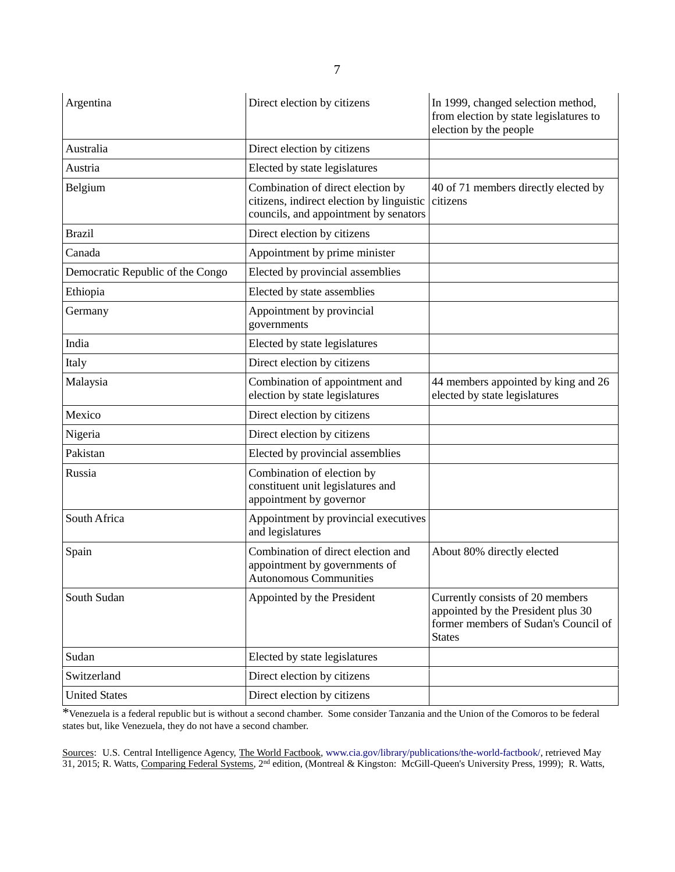| Argentina                        | Direct election by citizens                                                                                             | In 1999, changed selection method,<br>from election by state legislatures to<br>election by the people                          |
|----------------------------------|-------------------------------------------------------------------------------------------------------------------------|---------------------------------------------------------------------------------------------------------------------------------|
| Australia                        | Direct election by citizens                                                                                             |                                                                                                                                 |
| Austria                          | Elected by state legislatures                                                                                           |                                                                                                                                 |
| Belgium                          | Combination of direct election by<br>citizens, indirect election by linguistic<br>councils, and appointment by senators | 40 of 71 members directly elected by<br>citizens                                                                                |
| <b>Brazil</b>                    | Direct election by citizens                                                                                             |                                                                                                                                 |
| Canada                           | Appointment by prime minister                                                                                           |                                                                                                                                 |
| Democratic Republic of the Congo | Elected by provincial assemblies                                                                                        |                                                                                                                                 |
| Ethiopia                         | Elected by state assemblies                                                                                             |                                                                                                                                 |
| Germany                          | Appointment by provincial<br>governments                                                                                |                                                                                                                                 |
| India                            | Elected by state legislatures                                                                                           |                                                                                                                                 |
| Italy                            | Direct election by citizens                                                                                             |                                                                                                                                 |
| Malaysia                         | Combination of appointment and<br>election by state legislatures                                                        | 44 members appointed by king and 26<br>elected by state legislatures                                                            |
| Mexico                           | Direct election by citizens                                                                                             |                                                                                                                                 |
| Nigeria                          | Direct election by citizens                                                                                             |                                                                                                                                 |
| Pakistan                         | Elected by provincial assemblies                                                                                        |                                                                                                                                 |
| Russia                           | Combination of election by<br>constituent unit legislatures and<br>appointment by governor                              |                                                                                                                                 |
| South Africa                     | Appointment by provincial executives<br>and legislatures                                                                |                                                                                                                                 |
| Spain                            | Combination of direct election and<br>appointment by governments of<br><b>Autonomous Communities</b>                    | About 80% directly elected                                                                                                      |
| South Sudan                      | Appointed by the President                                                                                              | Currently consists of 20 members<br>appointed by the President plus 30<br>former members of Sudan's Council of<br><b>States</b> |
| Sudan                            | Elected by state legislatures                                                                                           |                                                                                                                                 |
| Switzerland                      | Direct election by citizens                                                                                             |                                                                                                                                 |
| <b>United States</b>             | Direct election by citizens                                                                                             |                                                                                                                                 |

\*Venezuela is a federal republic but is without a second chamber. Some consider Tanzania and the Union of the Comoros to be federal states but, like Venezuela, they do not have a second chamber.

Sources: U.S. Central Intelligence Agency, The World Factbook[, www.cia.gov/library/publications/the-world-factbook/,](http://www.cia.gov/library/publications/the-world-factbook/) retrieved May 31, 2015; R. Watts, Comparing Federal Systems, 2<sup>nd</sup> edition, (Montreal & Kingston: McGill-Queen's University Press, 1999); R. Watts,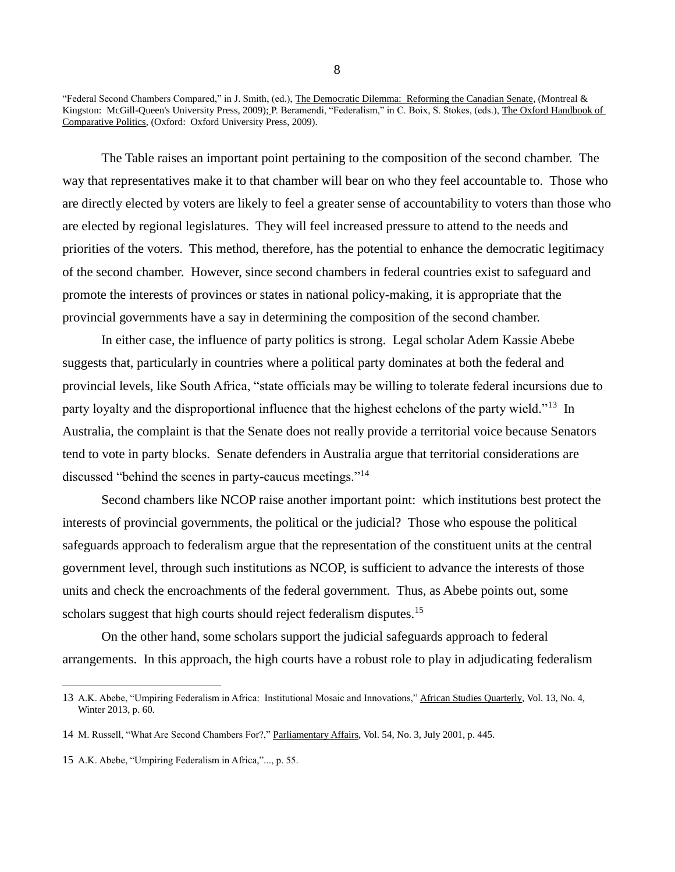The Table raises an important point pertaining to the composition of the second chamber. The way that representatives make it to that chamber will bear on who they feel accountable to. Those who are directly elected by voters are likely to feel a greater sense of accountability to voters than those who are elected by regional legislatures. They will feel increased pressure to attend to the needs and priorities of the voters. This method, therefore, has the potential to enhance the democratic legitimacy of the second chamber. However, since second chambers in federal countries exist to safeguard and promote the interests of provinces or states in national policy-making, it is appropriate that the provincial governments have a say in determining the composition of the second chamber.

In either case, the influence of party politics is strong. Legal scholar Adem Kassie Abebe suggests that, particularly in countries where a political party dominates at both the federal and provincial levels, like South Africa, "state officials may be willing to tolerate federal incursions due to party loyalty and the disproportional influence that the highest echelons of the party wield."<sup>13</sup> In Australia, the complaint is that the Senate does not really provide a territorial voice because Senators tend to vote in party blocks. Senate defenders in Australia argue that territorial considerations are discussed "behind the scenes in party-caucus meetings."<sup>14</sup>

Second chambers like NCOP raise another important point: which institutions best protect the interests of provincial governments, the political or the judicial? Those who espouse the political safeguards approach to federalism argue that the representation of the constituent units at the central government level, through such institutions as NCOP, is sufficient to advance the interests of those units and check the encroachments of the federal government. Thus, as Abebe points out, some scholars suggest that high courts should reject federalism disputes.<sup>15</sup>

On the other hand, some scholars support the judicial safeguards approach to federal arrangements. In this approach, the high courts have a robust role to play in adjudicating federalism

 $\overline{a}$ 

<sup>&</sup>quot;Federal Second Chambers Compared," in J. Smith, (ed.), The Democratic Dilemma: Reforming the Canadian Senate, (Montreal & Kingston: McGill-Queen's University Press, 2009); P. Beramendi, "Federalism," in C. Boix, S. Stokes, (eds.), The Oxford Handbook of Comparative Politics, (Oxford: Oxford University Press, 2009).

<sup>13</sup> A.K. Abebe, "Umpiring Federalism in Africa: Institutional Mosaic and Innovations," African Studies Quarterly, Vol. 13, No. 4, Winter 2013, p. 60.

<sup>14</sup> M. Russell, "What Are Second Chambers For?," Parliamentary Affairs, Vol. 54, No. 3, July 2001, p. 445.

<sup>15</sup> A.K. Abebe, "Umpiring Federalism in Africa,"..., p. 55.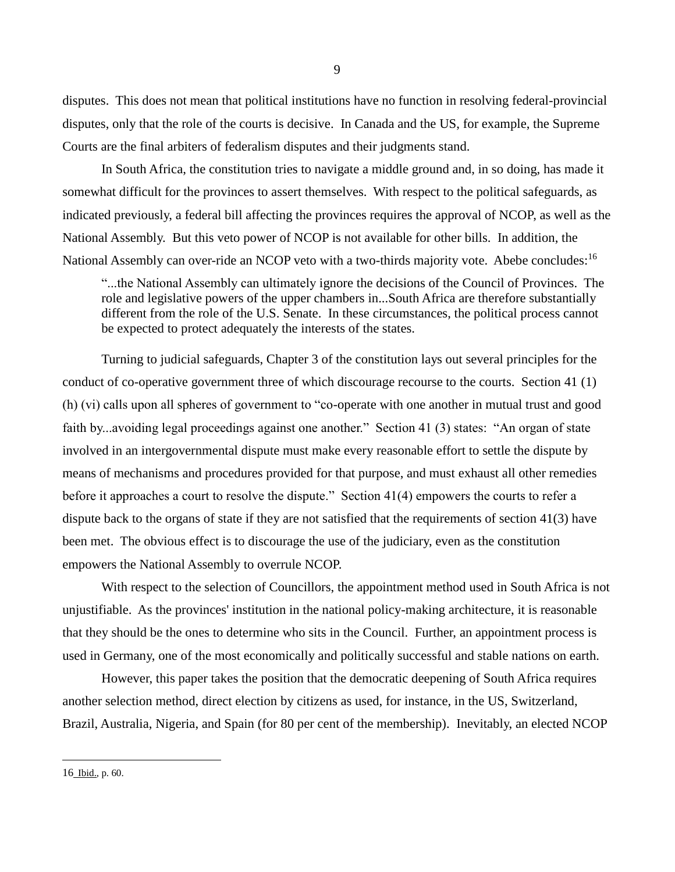disputes. This does not mean that political institutions have no function in resolving federal-provincial disputes, only that the role of the courts is decisive. In Canada and the US, for example, the Supreme Courts are the final arbiters of federalism disputes and their judgments stand.

In South Africa, the constitution tries to navigate a middle ground and, in so doing, has made it somewhat difficult for the provinces to assert themselves. With respect to the political safeguards, as indicated previously, a federal bill affecting the provinces requires the approval of NCOP, as well as the National Assembly. But this veto power of NCOP is not available for other bills. In addition, the National Assembly can over-ride an NCOP veto with a two-thirds majority vote. Abebe concludes:<sup>16</sup>

"...the National Assembly can ultimately ignore the decisions of the Council of Provinces. The role and legislative powers of the upper chambers in...South Africa are therefore substantially different from the role of the U.S. Senate. In these circumstances, the political process cannot be expected to protect adequately the interests of the states.

Turning to judicial safeguards, Chapter 3 of the constitution lays out several principles for the conduct of co-operative government three of which discourage recourse to the courts. Section 41 (1) (h) (vi) calls upon all spheres of government to "co-operate with one another in mutual trust and good faith by...avoiding legal proceedings against one another." Section 41 (3) states: "An organ of state involved in an intergovernmental dispute must make every reasonable effort to settle the dispute by means of mechanisms and procedures provided for that purpose, and must exhaust all other remedies before it approaches a court to resolve the dispute." Section 41(4) empowers the courts to refer a dispute back to the organs of state if they are not satisfied that the requirements of section 41(3) have been met. The obvious effect is to discourage the use of the judiciary, even as the constitution empowers the National Assembly to overrule NCOP.

With respect to the selection of Councillors, the appointment method used in South Africa is not unjustifiable. As the provinces' institution in the national policy-making architecture, it is reasonable that they should be the ones to determine who sits in the Council. Further, an appointment process is used in Germany, one of the most economically and politically successful and stable nations on earth.

However, this paper takes the position that the democratic deepening of South Africa requires another selection method, direct election by citizens as used, for instance, in the US, Switzerland, Brazil, Australia, Nigeria, and Spain (for 80 per cent of the membership). Inevitably, an elected NCOP

<sup>16</sup> Ibid., p. 60.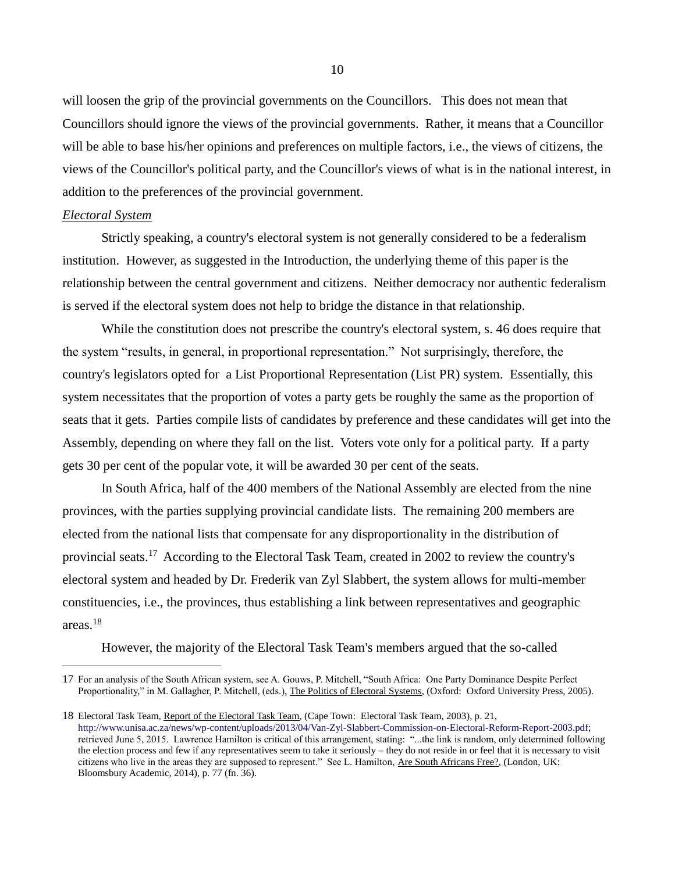will loosen the grip of the provincial governments on the Councillors. This does not mean that Councillors should ignore the views of the provincial governments. Rather, it means that a Councillor will be able to base his/her opinions and preferences on multiple factors, i.e., the views of citizens, the views of the Councillor's political party, and the Councillor's views of what is in the national interest, in addition to the preferences of the provincial government.

## *Electoral System*

 $\overline{a}$ 

Strictly speaking, a country's electoral system is not generally considered to be a federalism institution. However, as suggested in the Introduction, the underlying theme of this paper is the relationship between the central government and citizens. Neither democracy nor authentic federalism is served if the electoral system does not help to bridge the distance in that relationship.

While the constitution does not prescribe the country's electoral system, s. 46 does require that the system "results, in general, in proportional representation." Not surprisingly, therefore, the country's legislators opted for a List Proportional Representation (List PR) system. Essentially, this system necessitates that the proportion of votes a party gets be roughly the same as the proportion of seats that it gets. Parties compile lists of candidates by preference and these candidates will get into the Assembly, depending on where they fall on the list. Voters vote only for a political party. If a party gets 30 per cent of the popular vote, it will be awarded 30 per cent of the seats.

In South Africa, half of the 400 members of the National Assembly are elected from the nine provinces, with the parties supplying provincial candidate lists. The remaining 200 members are elected from the national lists that compensate for any disproportionality in the distribution of provincial seats.<sup>17</sup> According to the Electoral Task Team, created in 2002 to review the country's electoral system and headed by Dr. Frederik van Zyl Slabbert, the system allows for multi-member constituencies, i.e., the provinces, thus establishing a link between representatives and geographic areas.<sup>18</sup>

However, the majority of the Electoral Task Team's members argued that the so-called

<sup>17</sup> For an analysis of the South African system, see A. Gouws, P. Mitchell, "South Africa: One Party Dominance Despite Perfect Proportionality," in M. Gallagher, P. Mitchell, (eds.), The Politics of Electoral Systems, (Oxford: Oxford University Press, 2005).

<sup>18</sup> Electoral Task Team, Report of the Electoral Task Team, (Cape Town: Electoral Task Team, 2003), p. 21, [http://www.unisa.ac.za/news/wp-content/uploads/2013/04/Van-Zyl-Slabbert-Commission-on-Electoral-Reform-Report-2003.pdf;](http://www.unisa.ac.za/news/wp-content/uploads/2013/04/Van-Zyl-Slabbert-Commission-on-Electoral-Reform-Report-2003.pdf) retrieved June 5, 2015. Lawrence Hamilton is critical of this arrangement, stating: "...the link is random, only determined following the election process and few if any representatives seem to take it seriously – they do not reside in or feel that it is necessary to visit citizens who live in the areas they are supposed to represent." See L. Hamilton, Are South Africans Free?, (London, UK: Bloomsbury Academic, 2014), p. 77 (fn. 36).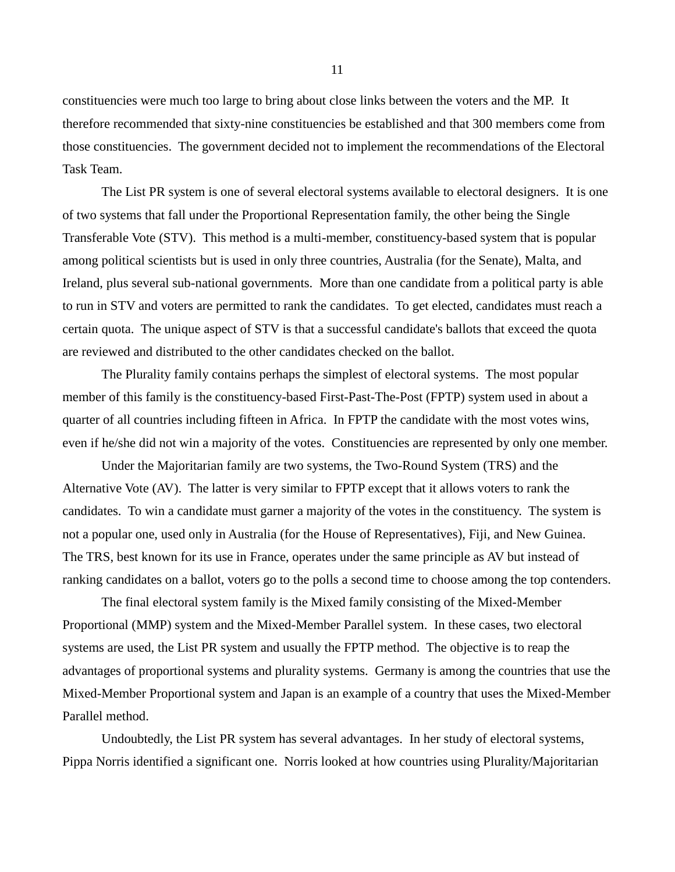constituencies were much too large to bring about close links between the voters and the MP. It therefore recommended that sixty-nine constituencies be established and that 300 members come from those constituencies. The government decided not to implement the recommendations of the Electoral Task Team.

The List PR system is one of several electoral systems available to electoral designers. It is one of two systems that fall under the Proportional Representation family, the other being the Single Transferable Vote (STV). This method is a multi-member, constituency-based system that is popular among political scientists but is used in only three countries, Australia (for the Senate), Malta, and Ireland, plus several sub-national governments. More than one candidate from a political party is able to run in STV and voters are permitted to rank the candidates. To get elected, candidates must reach a certain quota. The unique aspect of STV is that a successful candidate's ballots that exceed the quota are reviewed and distributed to the other candidates checked on the ballot.

The Plurality family contains perhaps the simplest of electoral systems. The most popular member of this family is the constituency-based First-Past-The-Post (FPTP) system used in about a quarter of all countries including fifteen in Africa. In FPTP the candidate with the most votes wins, even if he/she did not win a majority of the votes. Constituencies are represented by only one member.

Under the Majoritarian family are two systems, the Two-Round System (TRS) and the Alternative Vote (AV). The latter is very similar to FPTP except that it allows voters to rank the candidates. To win a candidate must garner a majority of the votes in the constituency. The system is not a popular one, used only in Australia (for the House of Representatives), Fiji, and New Guinea. The TRS, best known for its use in France, operates under the same principle as AV but instead of ranking candidates on a ballot, voters go to the polls a second time to choose among the top contenders.

The final electoral system family is the Mixed family consisting of the Mixed-Member Proportional (MMP) system and the Mixed-Member Parallel system. In these cases, two electoral systems are used, the List PR system and usually the FPTP method. The objective is to reap the advantages of proportional systems and plurality systems. Germany is among the countries that use the Mixed-Member Proportional system and Japan is an example of a country that uses the Mixed-Member Parallel method.

Undoubtedly, the List PR system has several advantages. In her study of electoral systems, Pippa Norris identified a significant one. Norris looked at how countries using Plurality/Majoritarian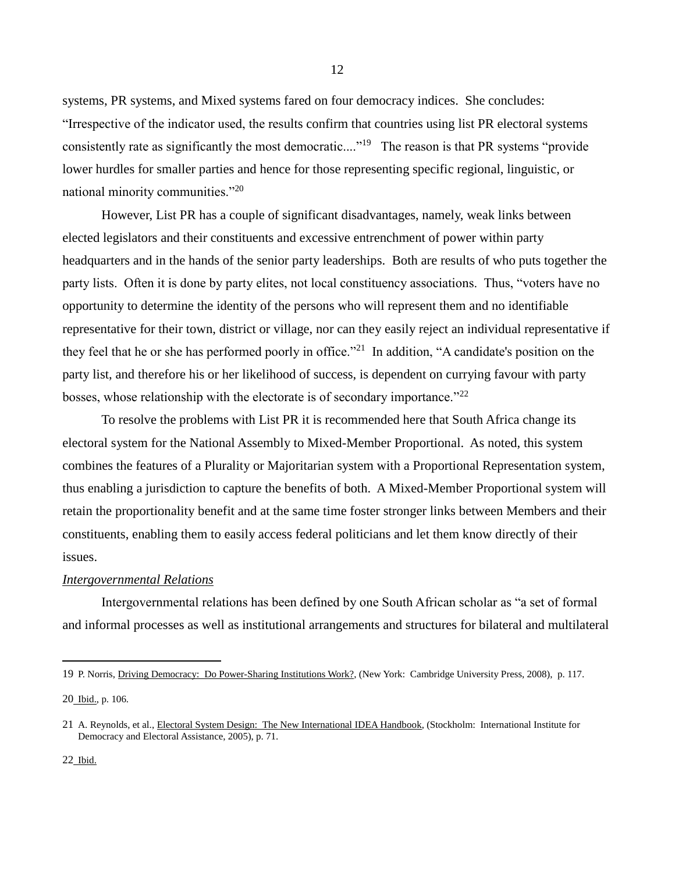systems, PR systems, and Mixed systems fared on four democracy indices. She concludes: "Irrespective of the indicator used, the results confirm that countries using list PR electoral systems consistently rate as significantly the most democratic...."<sup>19</sup> The reason is that PR systems "provide" lower hurdles for smaller parties and hence for those representing specific regional, linguistic, or national minority communities."<sup>20</sup>

However, List PR has a couple of significant disadvantages, namely, weak links between elected legislators and their constituents and excessive entrenchment of power within party headquarters and in the hands of the senior party leaderships. Both are results of who puts together the party lists. Often it is done by party elites, not local constituency associations. Thus, "voters have no opportunity to determine the identity of the persons who will represent them and no identifiable representative for their town, district or village, nor can they easily reject an individual representative if they feel that he or she has performed poorly in office."<sup>21</sup> In addition, "A candidate's position on the party list, and therefore his or her likelihood of success, is dependent on currying favour with party bosses, whose relationship with the electorate is of secondary importance."<sup>22</sup>

To resolve the problems with List PR it is recommended here that South Africa change its electoral system for the National Assembly to Mixed-Member Proportional. As noted, this system combines the features of a Plurality or Majoritarian system with a Proportional Representation system, thus enabling a jurisdiction to capture the benefits of both. A Mixed-Member Proportional system will retain the proportionality benefit and at the same time foster stronger links between Members and their constituents, enabling them to easily access federal politicians and let them know directly of their issues.

## *Intergovernmental Relations*

Intergovernmental relations has been defined by one South African scholar as "a set of formal and informal processes as well as institutional arrangements and structures for bilateral and multilateral

 $\overline{a}$ 

<sup>19</sup> P. Norris, Driving Democracy: Do Power-Sharing Institutions Work?, (New York: Cambridge University Press, 2008), p. 117.

<sup>20</sup> Ibid., p. 106.

<sup>21</sup> A. Reynolds, et al., Electoral System Design: The New International IDEA Handbook, (Stockholm: International Institute for Democracy and Electoral Assistance, 2005), p. 71.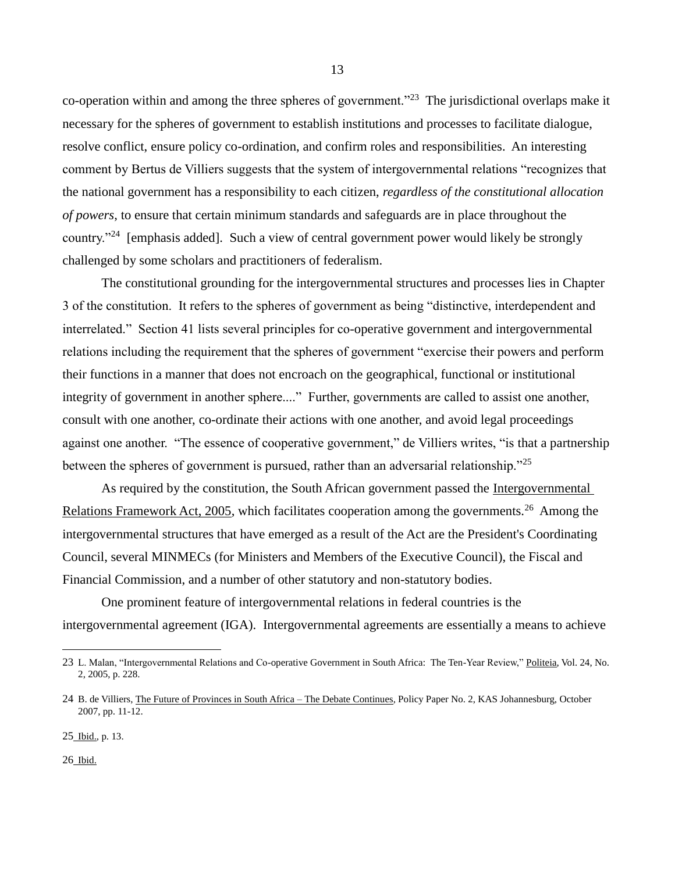co-operation within and among the three spheres of government."<sup>23</sup> The jurisdictional overlaps make it necessary for the spheres of government to establish institutions and processes to facilitate dialogue, resolve conflict, ensure policy co-ordination, and confirm roles and responsibilities. An interesting comment by Bertus de Villiers suggests that the system of intergovernmental relations "recognizes that the national government has a responsibility to each citizen, *regardless of the constitutional allocation of powers*, to ensure that certain minimum standards and safeguards are in place throughout the country."<sup>24</sup> [emphasis added]. Such a view of central government power would likely be strongly challenged by some scholars and practitioners of federalism.

The constitutional grounding for the intergovernmental structures and processes lies in Chapter 3 of the constitution. It refers to the spheres of government as being "distinctive, interdependent and interrelated." Section 41 lists several principles for co-operative government and intergovernmental relations including the requirement that the spheres of government "exercise their powers and perform their functions in a manner that does not encroach on the geographical, functional or institutional integrity of government in another sphere...." Further, governments are called to assist one another, consult with one another, co-ordinate their actions with one another, and avoid legal proceedings against one another. "The essence of cooperative government," de Villiers writes, "is that a partnership between the spheres of government is pursued, rather than an adversarial relationship."<sup>25</sup>

As required by the constitution, the South African government passed the Intergovernmental Relations Framework Act, 2005, which facilitates cooperation among the governments.<sup>26</sup> Among the intergovernmental structures that have emerged as a result of the Act are the President's Coordinating Council, several MINMECs (for Ministers and Members of the Executive Council), the Fiscal and Financial Commission, and a number of other statutory and non-statutory bodies.

One prominent feature of intergovernmental relations in federal countries is the intergovernmental agreement (IGA). Intergovernmental agreements are essentially a means to achieve

25 Ibid., p. 13.

26 Ibid.

 $\overline{a}$ 

<sup>23</sup> L. Malan, "Intergovernmental Relations and Co-operative Government in South Africa: The Ten-Year Review," Politeia, Vol. 24, No. 2, 2005, p. 228.

<sup>24</sup> B. de Villiers, The Future of Provinces in South Africa – The Debate Continues, Policy Paper No. 2, KAS Johannesburg, October 2007, pp. 11-12.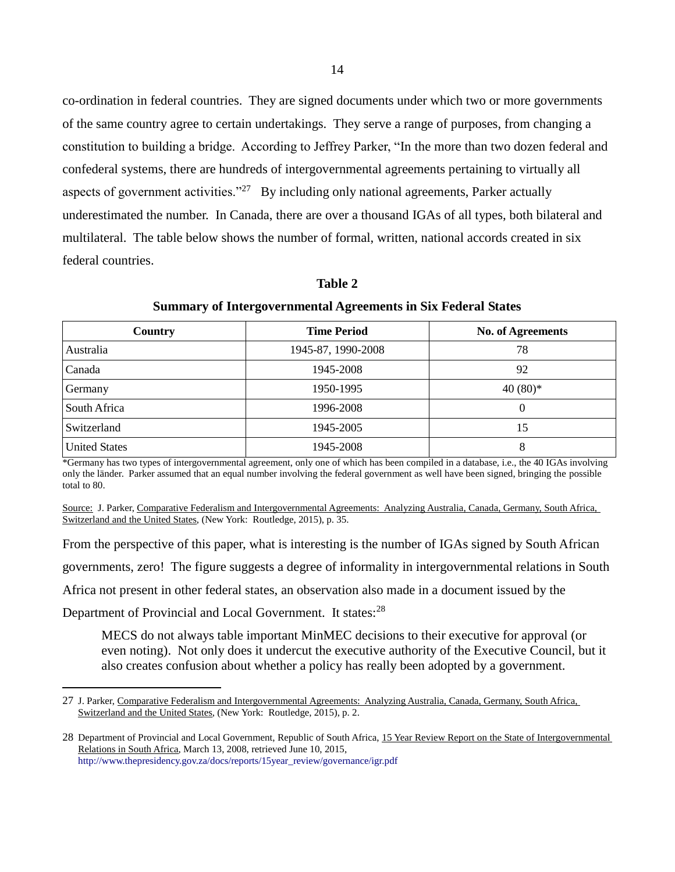co-ordination in federal countries. They are signed documents under which two or more governments of the same country agree to certain undertakings. They serve a range of purposes, from changing a constitution to building a bridge. According to Jeffrey Parker, "In the more than two dozen federal and confederal systems, there are hundreds of intergovernmental agreements pertaining to virtually all aspects of government activities."<sup>27</sup> By including only national agreements, Parker actually underestimated the number. In Canada, there are over a thousand IGAs of all types, both bilateral and multilateral. The table below shows the number of formal, written, national accords created in six federal countries.

**Table 2**

# **Summary of Intergovernmental Agreements in Six Federal States**

| Country              | <b>Time Period</b> | <b>No. of Agreements</b> |
|----------------------|--------------------|--------------------------|
| Australia            | 1945-87, 1990-2008 | 78                       |
| Canada               | 1945-2008          | 92                       |
| Germany              | 1950-1995          | 40 $(80)$ *              |
| South Africa         | 1996-2008          | $\Omega$                 |
| Switzerland          | 1945-2005          | 15                       |
| <b>United States</b> | 1945-2008          | 8                        |

\*Germany has two types of intergovernmental agreement, only one of which has been compiled in a database, i.e., the 40 IGAs involving only the länder. Parker assumed that an equal number involving the federal government as well have been signed, bringing the possible total to 80.

Source: J. Parker, Comparative Federalism and Intergovernmental Agreements: Analyzing Australia, Canada, Germany, South Africa, Switzerland and the United States, (New York: Routledge, 2015), p. 35.

From the perspective of this paper, what is interesting is the number of IGAs signed by South African

governments, zero! The figure suggests a degree of informality in intergovernmental relations in South

Africa not present in other federal states, an observation also made in a document issued by the

Department of Provincial and Local Government. It states:<sup>28</sup>

 $\overline{a}$ 

MECS do not always table important MinMEC decisions to their executive for approval (or even noting). Not only does it undercut the executive authority of the Executive Council, but it also creates confusion about whether a policy has really been adopted by a government.

<sup>27</sup> J. Parker, Comparative Federalism and Intergovernmental Agreements: Analyzing Australia, Canada, Germany, South Africa, Switzerland and the United States, (New York: Routledge, 2015), p. 2.

<sup>28</sup> Department of Provincial and Local Government, Republic of South Africa, 15 Year Review Report on the State of Intergovernmental Relations in South Africa, March 13, 2008, retrieved June 10, 2015, [http://www.thepresidency.gov.za/docs/reports/15year\\_review/governance/igr.pdf](http://www.thepresidency.gov.za/docs/reports/15year_review/governance/igr.pdf)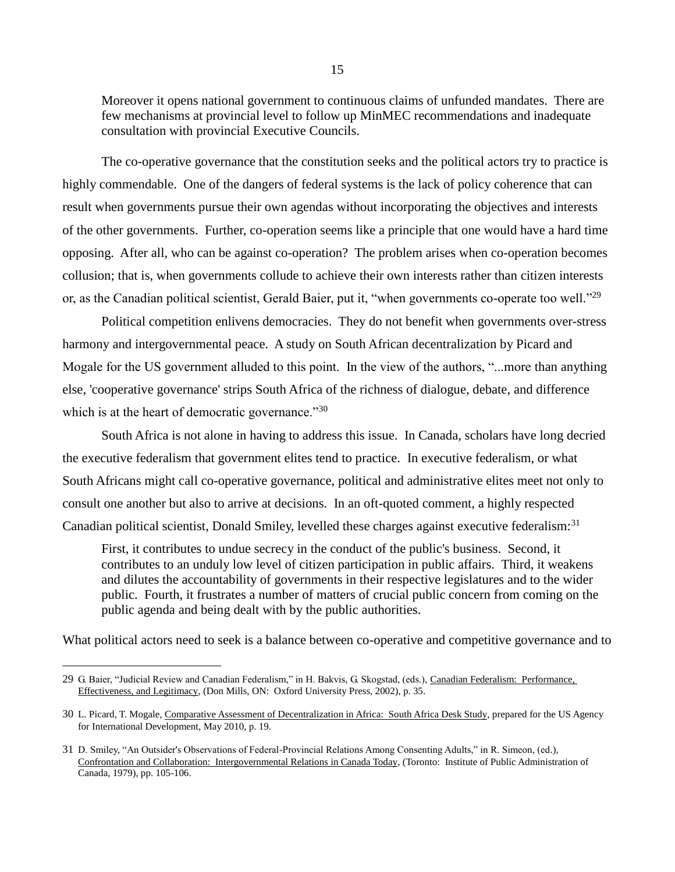Moreover it opens national government to continuous claims of unfunded mandates. There are few mechanisms at provincial level to follow up MinMEC recommendations and inadequate consultation with provincial Executive Councils.

The co-operative governance that the constitution seeks and the political actors try to practice is highly commendable. One of the dangers of federal systems is the lack of policy coherence that can result when governments pursue their own agendas without incorporating the objectives and interests of the other governments. Further, co-operation seems like a principle that one would have a hard time opposing. After all, who can be against co-operation? The problem arises when co-operation becomes collusion; that is, when governments collude to achieve their own interests rather than citizen interests or, as the Canadian political scientist, Gerald Baier, put it, "when governments co-operate too well."<sup>29</sup>

Political competition enlivens democracies. They do not benefit when governments over-stress harmony and intergovernmental peace. A study on South African decentralization by Picard and Mogale for the US government alluded to this point. In the view of the authors, "...more than anything else, 'cooperative governance' strips South Africa of the richness of dialogue, debate, and difference which is at the heart of democratic governance."<sup>30</sup>

South Africa is not alone in having to address this issue. In Canada, scholars have long decried the executive federalism that government elites tend to practice. In executive federalism, or what South Africans might call co-operative governance, political and administrative elites meet not only to consult one another but also to arrive at decisions. In an oft-quoted comment, a highly respected Canadian political scientist, Donald Smiley, levelled these charges against executive federalism:<sup>31</sup>

First, it contributes to undue secrecy in the conduct of the public's business. Second, it contributes to an unduly low level of citizen participation in public affairs. Third, it weakens and dilutes the accountability of governments in their respective legislatures and to the wider public. Fourth, it frustrates a number of matters of crucial public concern from coming on the public agenda and being dealt with by the public authorities.

What political actors need to seek is a balance between co-operative and competitive governance and to

<sup>29</sup> G. Baier, "Judicial Review and Canadian Federalism," in H. Bakvis, G. Skogstad, (eds.), Canadian Federalism: Performance, Effectiveness, and Legitimacy, (Don Mills, ON: Oxford University Press, 2002), p. 35.

<sup>30</sup> L. Picard, T. Mogale, Comparative Assessment of Decentralization in Africa: South Africa Desk Study, prepared for the US Agency for International Development, May 2010, p. 19.

<sup>31</sup> D. Smiley, "An Outsider's Observations of Federal-Provincial Relations Among Consenting Adults," in R. Simeon, (ed.), Confrontation and Collaboration: Intergovernmental Relations in Canada Today, (Toronto: Institute of Public Administration of Canada, 1979), pp. 105-106.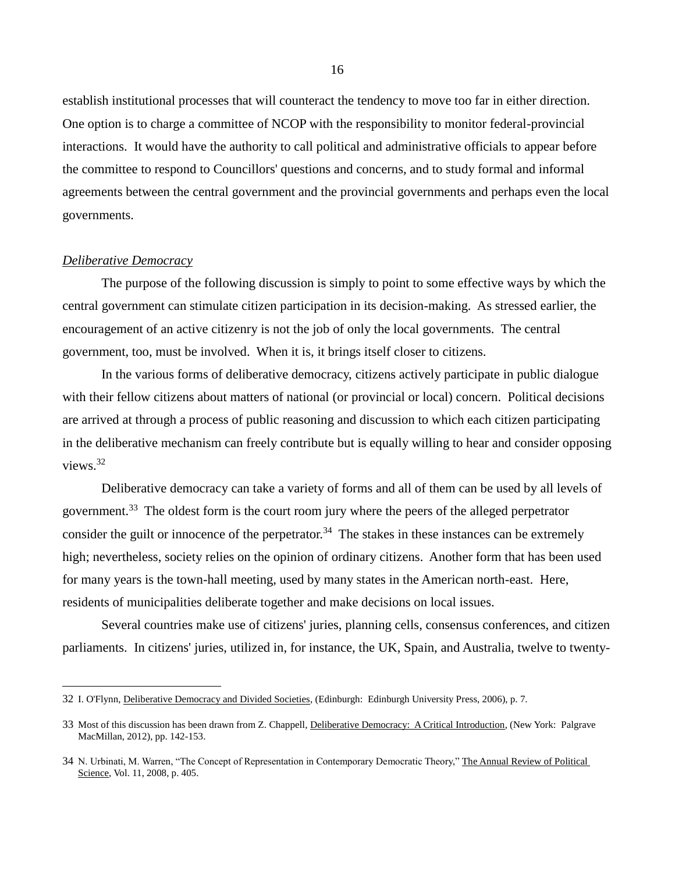establish institutional processes that will counteract the tendency to move too far in either direction. One option is to charge a committee of NCOP with the responsibility to monitor federal-provincial interactions. It would have the authority to call political and administrative officials to appear before the committee to respond to Councillors' questions and concerns, and to study formal and informal agreements between the central government and the provincial governments and perhaps even the local governments.

### *Deliberative Democracy*

 $\overline{a}$ 

The purpose of the following discussion is simply to point to some effective ways by which the central government can stimulate citizen participation in its decision-making. As stressed earlier, the encouragement of an active citizenry is not the job of only the local governments. The central government, too, must be involved. When it is, it brings itself closer to citizens.

In the various forms of deliberative democracy, citizens actively participate in public dialogue with their fellow citizens about matters of national (or provincial or local) concern. Political decisions are arrived at through a process of public reasoning and discussion to which each citizen participating in the deliberative mechanism can freely contribute but is equally willing to hear and consider opposing views.<sup>32</sup>

Deliberative democracy can take a variety of forms and all of them can be used by all levels of government.<sup>33</sup> The oldest form is the court room jury where the peers of the alleged perpetrator consider the guilt or innocence of the perpetrator.<sup>34</sup> The stakes in these instances can be extremely high; nevertheless, society relies on the opinion of ordinary citizens. Another form that has been used for many years is the town-hall meeting, used by many states in the American north-east. Here, residents of municipalities deliberate together and make decisions on local issues.

Several countries make use of citizens' juries, planning cells, consensus conferences, and citizen parliaments. In citizens' juries, utilized in, for instance, the UK, Spain, and Australia, twelve to twenty-

<sup>32</sup> I. O'Flynn, Deliberative Democracy and Divided Societies, (Edinburgh: Edinburgh University Press, 2006), p. 7.

<sup>33</sup> Most of this discussion has been drawn from Z. Chappell, Deliberative Democracy: A Critical Introduction, (New York: Palgrave MacMillan, 2012), pp. 142-153.

<sup>34</sup> N. Urbinati, M. Warren, "The Concept of Representation in Contemporary Democratic Theory," The Annual Review of Political Science, Vol. 11, 2008, p. 405.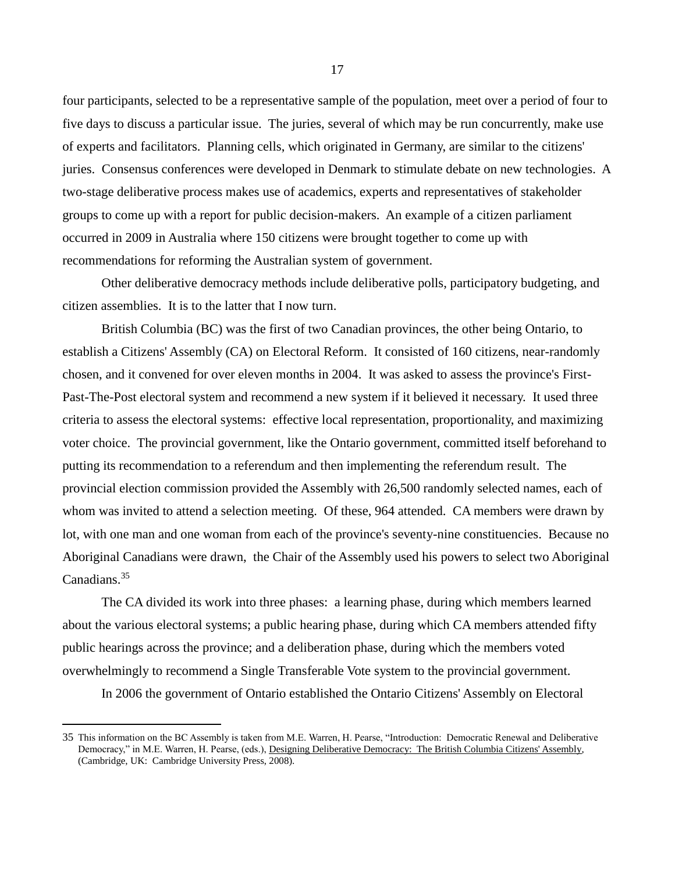four participants, selected to be a representative sample of the population, meet over a period of four to five days to discuss a particular issue. The juries, several of which may be run concurrently, make use of experts and facilitators. Planning cells, which originated in Germany, are similar to the citizens' juries. Consensus conferences were developed in Denmark to stimulate debate on new technologies. A two-stage deliberative process makes use of academics, experts and representatives of stakeholder groups to come up with a report for public decision-makers. An example of a citizen parliament occurred in 2009 in Australia where 150 citizens were brought together to come up with recommendations for reforming the Australian system of government.

Other deliberative democracy methods include deliberative polls, participatory budgeting, and citizen assemblies. It is to the latter that I now turn.

British Columbia (BC) was the first of two Canadian provinces, the other being Ontario, to establish a Citizens' Assembly (CA) on Electoral Reform. It consisted of 160 citizens, near-randomly chosen, and it convened for over eleven months in 2004. It was asked to assess the province's First-Past-The-Post electoral system and recommend a new system if it believed it necessary. It used three criteria to assess the electoral systems: effective local representation, proportionality, and maximizing voter choice. The provincial government, like the Ontario government, committed itself beforehand to putting its recommendation to a referendum and then implementing the referendum result. The provincial election commission provided the Assembly with 26,500 randomly selected names, each of whom was invited to attend a selection meeting. Of these, 964 attended. CA members were drawn by lot, with one man and one woman from each of the province's seventy-nine constituencies. Because no Aboriginal Canadians were drawn, the Chair of the Assembly used his powers to select two Aboriginal Canadians.<sup>35</sup>

The CA divided its work into three phases: a learning phase, during which members learned about the various electoral systems; a public hearing phase, during which CA members attended fifty public hearings across the province; and a deliberation phase, during which the members voted overwhelmingly to recommend a Single Transferable Vote system to the provincial government.

In 2006 the government of Ontario established the Ontario Citizens' Assembly on Electoral

 $\overline{a}$ 

<sup>35</sup> This information on the BC Assembly is taken from M.E. Warren, H. Pearse, "Introduction: Democratic Renewal and Deliberative Democracy," in M.E. Warren, H. Pearse, (eds.), Designing Deliberative Democracy: The British Columbia Citizens' Assembly, (Cambridge, UK: Cambridge University Press, 2008).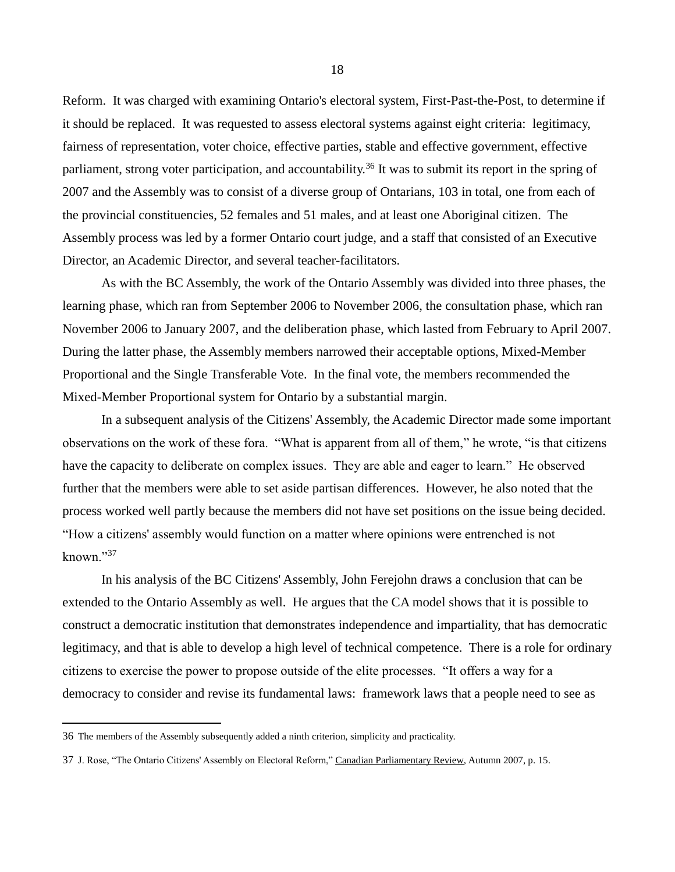Reform. It was charged with examining Ontario's electoral system, First-Past-the-Post, to determine if it should be replaced. It was requested to assess electoral systems against eight criteria: legitimacy, fairness of representation, voter choice, effective parties, stable and effective government, effective parliament, strong voter participation, and accountability.<sup>36</sup> It was to submit its report in the spring of 2007 and the Assembly was to consist of a diverse group of Ontarians, 103 in total, one from each of the provincial constituencies, 52 females and 51 males, and at least one Aboriginal citizen. The Assembly process was led by a former Ontario court judge, and a staff that consisted of an Executive Director, an Academic Director, and several teacher-facilitators.

As with the BC Assembly, the work of the Ontario Assembly was divided into three phases, the learning phase, which ran from September 2006 to November 2006, the consultation phase, which ran November 2006 to January 2007, and the deliberation phase, which lasted from February to April 2007. During the latter phase, the Assembly members narrowed their acceptable options, Mixed-Member Proportional and the Single Transferable Vote. In the final vote, the members recommended the Mixed-Member Proportional system for Ontario by a substantial margin.

In a subsequent analysis of the Citizens' Assembly, the Academic Director made some important observations on the work of these fora. "What is apparent from all of them," he wrote, "is that citizens have the capacity to deliberate on complex issues. They are able and eager to learn." He observed further that the members were able to set aside partisan differences. However, he also noted that the process worked well partly because the members did not have set positions on the issue being decided. "How a citizens' assembly would function on a matter where opinions were entrenched is not known."<sup>37</sup>

In his analysis of the BC Citizens' Assembly, John Ferejohn draws a conclusion that can be extended to the Ontario Assembly as well. He argues that the CA model shows that it is possible to construct a democratic institution that demonstrates independence and impartiality, that has democratic legitimacy, and that is able to develop a high level of technical competence. There is a role for ordinary citizens to exercise the power to propose outside of the elite processes. "It offers a way for a democracy to consider and revise its fundamental laws: framework laws that a people need to see as

<sup>36</sup> The members of the Assembly subsequently added a ninth criterion, simplicity and practicality.

<sup>37</sup> J. Rose, "The Ontario Citizens' Assembly on Electoral Reform," Canadian Parliamentary Review, Autumn 2007, p. 15.